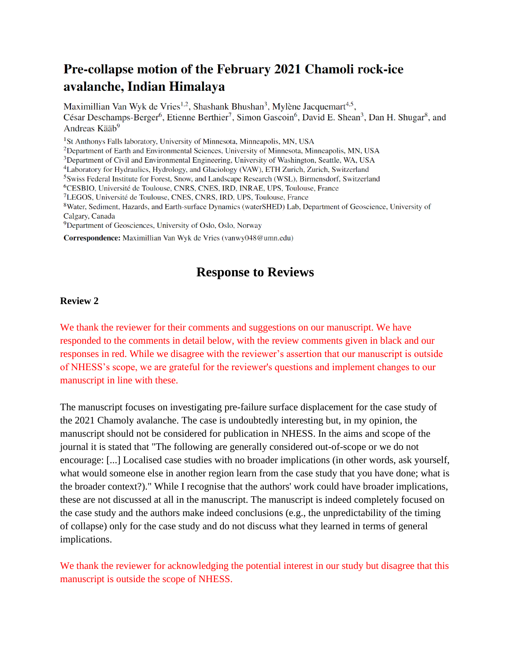## Pre-collapse motion of the February 2021 Chamoli rock-ice avalanche, Indian Himalaya

Maximillian Van Wyk de Vries<sup>1,2</sup>, Shashank Bhushan<sup>3</sup>, Mylène Jacquemart<sup>4,5</sup>, César Deschamps-Berger<sup>6</sup>, Etienne Berthier<sup>7</sup>, Simon Gascoin<sup>6</sup>, David E. Shean<sup>3</sup>, Dan H. Shugar<sup>8</sup>, and Andreas Kääb<sup>9</sup>

<sup>1</sup>St Anthonys Falls laboratory, University of Minnesota, Minneapolis, MN, USA

<sup>2</sup>Department of Earth and Environmental Sciences, University of Minnesota, Minneapolis, MN, USA

<sup>3</sup>Department of Civil and Environmental Engineering, University of Washington, Seattle, WA, USA

<sup>4</sup>Laboratory for Hydraulics, Hydrology, and Glaciology (VAW), ETH Zurich, Zurich, Switzerland

<sup>5</sup>Swiss Federal Institute for Forest, Snow, and Landscape Research (WSL), Birmensdorf, Switzerland

<sup>6</sup>CESBIO, Université de Toulouse, CNRS, CNES, IRD, INRAE, UPS, Toulouse, France

<sup>7</sup>LEGOS, Université de Toulouse, CNES, CNRS, IRD, UPS, Toulouse, France

<sup>8</sup>Water, Sediment, Hazards, and Earth-surface Dynamics (waterSHED) Lab, Department of Geoscience, University of Calgary, Canada

<sup>9</sup>Department of Geosciences, University of Oslo, Oslo, Norway

Correspondence: Maximillian Van Wyk de Vries (vanwy048@umn.edu)

## **Response to Reviews**

## **Review 2**

We thank the reviewer for their comments and suggestions on our manuscript. We have responded to the comments in detail below, with the review comments given in black and our responses in red. While we disagree with the reviewer's assertion that our manuscript is outside of NHESS's scope, we are grateful for the reviewer's questions and implement changes to our manuscript in line with these.

The manuscript focuses on investigating pre-failure surface displacement for the case study of the 2021 Chamoly avalanche. The case is undoubtedly interesting but, in my opinion, the manuscript should not be considered for publication in NHESS. In the aims and scope of the journal it is stated that "The following are generally considered out-of-scope or we do not encourage: [...] Localised case studies with no broader implications (in other words, ask yourself, what would someone else in another region learn from the case study that you have done; what is the broader context?)." While I recognise that the authors' work could have broader implications, these are not discussed at all in the manuscript. The manuscript is indeed completely focused on the case study and the authors make indeed conclusions (e.g., the unpredictability of the timing of collapse) only for the case study and do not discuss what they learned in terms of general implications.

We thank the reviewer for acknowledging the potential interest in our study but disagree that this manuscript is outside the scope of NHESS.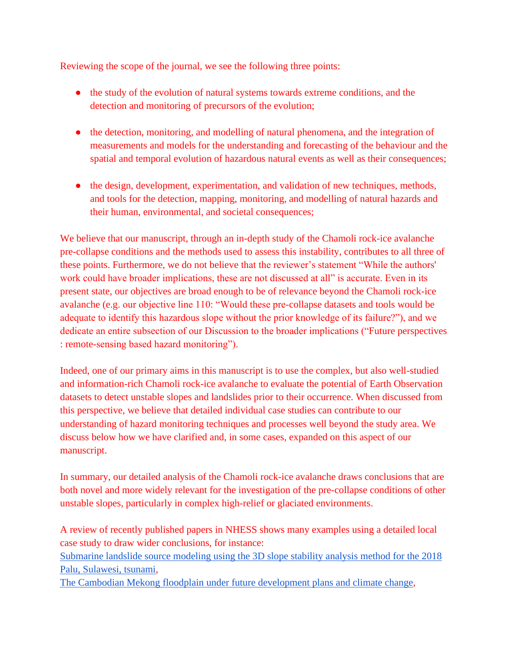Reviewing the scope of the journal, we see the following three points:

- the study of the evolution of natural systems towards extreme conditions, and the detection and monitoring of precursors of the evolution;
- the detection, monitoring, and modelling of natural phenomena, and the integration of measurements and models for the understanding and forecasting of the behaviour and the spatial and temporal evolution of hazardous natural events as well as their consequences;
- the design, development, experimentation, and validation of new techniques, methods, and tools for the detection, mapping, monitoring, and modelling of natural hazards and their human, environmental, and societal consequences;

We believe that our manuscript, through an in-depth study of the Chamoli rock-ice avalanche pre-collapse conditions and the methods used to assess this instability, contributes to all three of these points. Furthermore, we do not believe that the reviewer's statement "While the authors' work could have broader implications, these are not discussed at all" is accurate. Even in its present state, our objectives are broad enough to be of relevance beyond the Chamoli rock-ice avalanche (e.g. our objective line 110: "Would these pre-collapse datasets and tools would be adequate to identify this hazardous slope without the prior knowledge of its failure?"), and we dedicate an entire subsection of our Discussion to the broader implications ("Future perspectives : remote-sensing based hazard monitoring").

Indeed, one of our primary aims in this manuscript is to use the complex, but also well-studied and information-rich Chamoli rock-ice avalanche to evaluate the potential of Earth Observation datasets to detect unstable slopes and landslides prior to their occurrence. When discussed from this perspective, we believe that detailed individual case studies can contribute to our understanding of hazard monitoring techniques and processes well beyond the study area. We discuss below how we have clarified and, in some cases, expanded on this aspect of our manuscript.

In summary, our detailed analysis of the Chamoli rock-ice avalanche draws conclusions that are both novel and more widely relevant for the investigation of the pre-collapse conditions of other unstable slopes, particularly in complex high-relief or glaciated environments.

A review of recently published papers in NHESS shows many examples using a detailed local case study to draw wider conclusions, for instance:

[Submarine landslide source modeling using the 3D slope stability analysis method for the 2018](https://doi.org/10.5194/nhess-22-891-2022)  [Palu, Sulawesi, tsunami,](https://doi.org/10.5194/nhess-22-891-2022)

[The Cambodian Mekong floodplain under future development plans and climate change,](https://doi.org/10.5194/nhess-22-967-2022)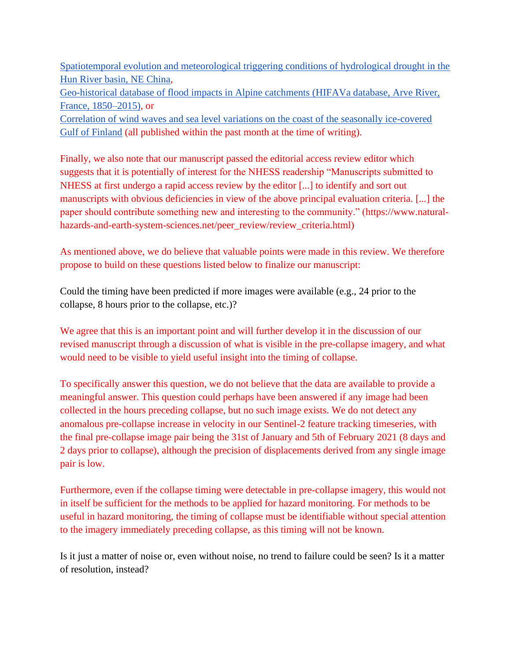[Spatiotemporal evolution and meteorological triggering conditions of hydrological drought in the](https://doi.org/10.5194/nhess-22-995-2022)  [Hun River basin, NE China,](https://doi.org/10.5194/nhess-22-995-2022)

[Geo-historical database of flood impacts in Alpine catchments \(HIFAVa database, Arve River,](https://doi.org/10.5194/nhess-22-831-2022)  [France, 1850–2015\),](https://doi.org/10.5194/nhess-22-831-2022) or

[Correlation of wind waves and sea level variations on the coast of the seasonally ice-covered](https://doi.org/10.5194/nhess-22-813-2022)  [Gulf of Finland](https://doi.org/10.5194/nhess-22-813-2022) (all published within the past month at the time of writing).

Finally, we also note that our manuscript passed the editorial access review editor which suggests that it is potentially of interest for the NHESS readership "Manuscripts submitted to NHESS at first undergo a rapid access review by the editor [...] to identify and sort out manuscripts with obvious deficiencies in view of the above principal evaluation criteria. [...] the paper should contribute something new and interesting to the community." [\(https://www.natural](https://www.natural-hazards-and-earth-system-sciences.net/peer_review/review_criteria.html)[hazards-and-earth-system-sciences.net/peer\\_review/review\\_criteria.html\)](https://www.natural-hazards-and-earth-system-sciences.net/peer_review/review_criteria.html)

As mentioned above, we do believe that valuable points were made in this review. We therefore propose to build on these questions listed below to finalize our manuscript:

Could the timing have been predicted if more images were available (e.g., 24 prior to the collapse, 8 hours prior to the collapse, etc.)?

We agree that this is an important point and will further develop it in the discussion of our revised manuscript through a discussion of what is visible in the pre-collapse imagery, and what would need to be visible to yield useful insight into the timing of collapse.

To specifically answer this question, we do not believe that the data are available to provide a meaningful answer. This question could perhaps have been answered if any image had been collected in the hours preceding collapse, but no such image exists. We do not detect any anomalous pre-collapse increase in velocity in our Sentinel-2 feature tracking timeseries, with the final pre-collapse image pair being the 31st of January and 5th of February 2021 (8 days and 2 days prior to collapse), although the precision of displacements derived from any single image pair is low.

Furthermore, even if the collapse timing were detectable in pre-collapse imagery, this would not in itself be sufficient for the methods to be applied for hazard monitoring. For methods to be useful in hazard monitoring, the timing of collapse must be identifiable without special attention to the imagery immediately preceding collapse, as this timing will not be known.

Is it just a matter of noise or, even without noise, no trend to failure could be seen? Is it a matter of resolution, instead?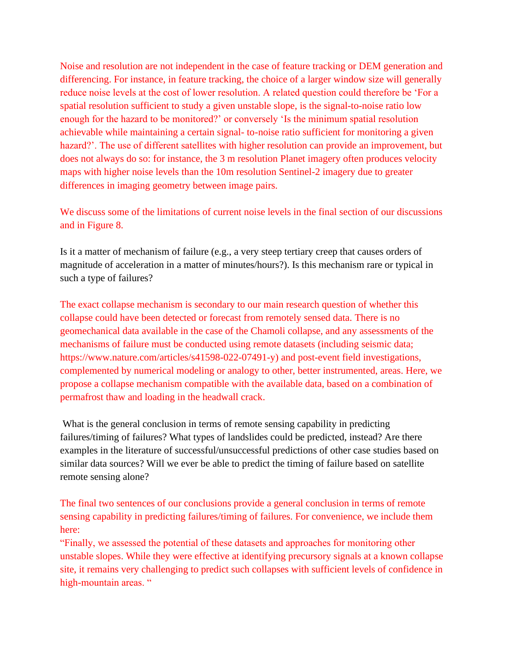Noise and resolution are not independent in the case of feature tracking or DEM generation and differencing. For instance, in feature tracking, the choice of a larger window size will generally reduce noise levels at the cost of lower resolution. A related question could therefore be 'For a spatial resolution sufficient to study a given unstable slope, is the signal-to-noise ratio low enough for the hazard to be monitored?' or conversely 'Is the minimum spatial resolution achievable while maintaining a certain signal- to-noise ratio sufficient for monitoring a given hazard?'. The use of different satellites with higher resolution can provide an improvement, but does not always do so: for instance, the 3 m resolution Planet imagery often produces velocity maps with higher noise levels than the 10m resolution Sentinel-2 imagery due to greater differences in imaging geometry between image pairs.

We discuss some of the limitations of current noise levels in the final section of our discussions and in Figure 8.

Is it a matter of mechanism of failure (e.g., a very steep tertiary creep that causes orders of magnitude of acceleration in a matter of minutes/hours?). Is this mechanism rare or typical in such a type of failures?

The exact collapse mechanism is secondary to our main research question of whether this collapse could have been detected or forecast from remotely sensed data. There is no geomechanical data available in the case of the Chamoli collapse, and any assessments of the mechanisms of failure must be conducted using remote datasets (including seismic data; [https://www.nature.com/articles/s41598-022-07491-y\)](https://www.nature.com/articles/s41598-022-07491-y) and post-event field investigations, complemented by numerical modeling or analogy to other, better instrumented, areas. Here, we propose a collapse mechanism compatible with the available data, based on a combination of permafrost thaw and loading in the headwall crack.

What is the general conclusion in terms of remote sensing capability in predicting failures/timing of failures? What types of landslides could be predicted, instead? Are there examples in the literature of successful/unsuccessful predictions of other case studies based on similar data sources? Will we ever be able to predict the timing of failure based on satellite remote sensing alone?

The final two sentences of our conclusions provide a general conclusion in terms of remote sensing capability in predicting failures/timing of failures. For convenience, we include them here:

"Finally, we assessed the potential of these datasets and approaches for monitoring other unstable slopes. While they were effective at identifying precursory signals at a known collapse site, it remains very challenging to predict such collapses with sufficient levels of confidence in high-mountain areas. "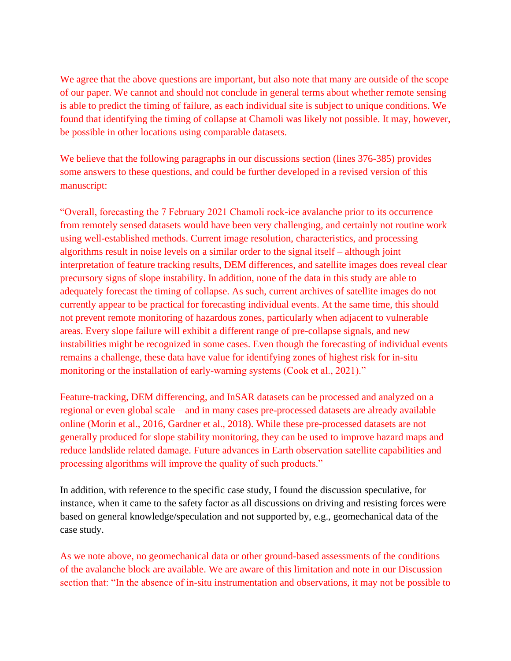We agree that the above questions are important, but also note that many are outside of the scope of our paper. We cannot and should not conclude in general terms about whether remote sensing is able to predict the timing of failure, as each individual site is subject to unique conditions. We found that identifying the timing of collapse at Chamoli was likely not possible. It may, however, be possible in other locations using comparable datasets.

We believe that the following paragraphs in our discussions section (lines 376-385) provides some answers to these questions, and could be further developed in a revised version of this manuscript:

"Overall, forecasting the 7 February 2021 Chamoli rock-ice avalanche prior to its occurrence from remotely sensed datasets would have been very challenging, and certainly not routine work using well-established methods. Current image resolution, characteristics, and processing algorithms result in noise levels on a similar order to the signal itself – although joint interpretation of feature tracking results, DEM differences, and satellite images does reveal clear precursory signs of slope instability. In addition, none of the data in this study are able to adequately forecast the timing of collapse. As such, current archives of satellite images do not currently appear to be practical for forecasting individual events. At the same time, this should not prevent remote monitoring of hazardous zones, particularly when adjacent to vulnerable areas. Every slope failure will exhibit a different range of pre-collapse signals, and new instabilities might be recognized in some cases. Even though the forecasting of individual events remains a challenge, these data have value for identifying zones of highest risk for in-situ monitoring or the installation of early-warning systems (Cook et al., 2021)."

Feature-tracking, DEM differencing, and InSAR datasets can be processed and analyzed on a regional or even global scale – and in many cases pre-processed datasets are already available online (Morin et al., 2016, Gardner et al., 2018). While these pre-processed datasets are not generally produced for slope stability monitoring, they can be used to improve hazard maps and reduce landslide related damage. Future advances in Earth observation satellite capabilities and processing algorithms will improve the quality of such products."

In addition, with reference to the specific case study, I found the discussion speculative, for instance, when it came to the safety factor as all discussions on driving and resisting forces were based on general knowledge/speculation and not supported by, e.g., geomechanical data of the case study.

As we note above, no geomechanical data or other ground-based assessments of the conditions of the avalanche block are available. We are aware of this limitation and note in our Discussion section that: "In the absence of in-situ instrumentation and observations, it may not be possible to